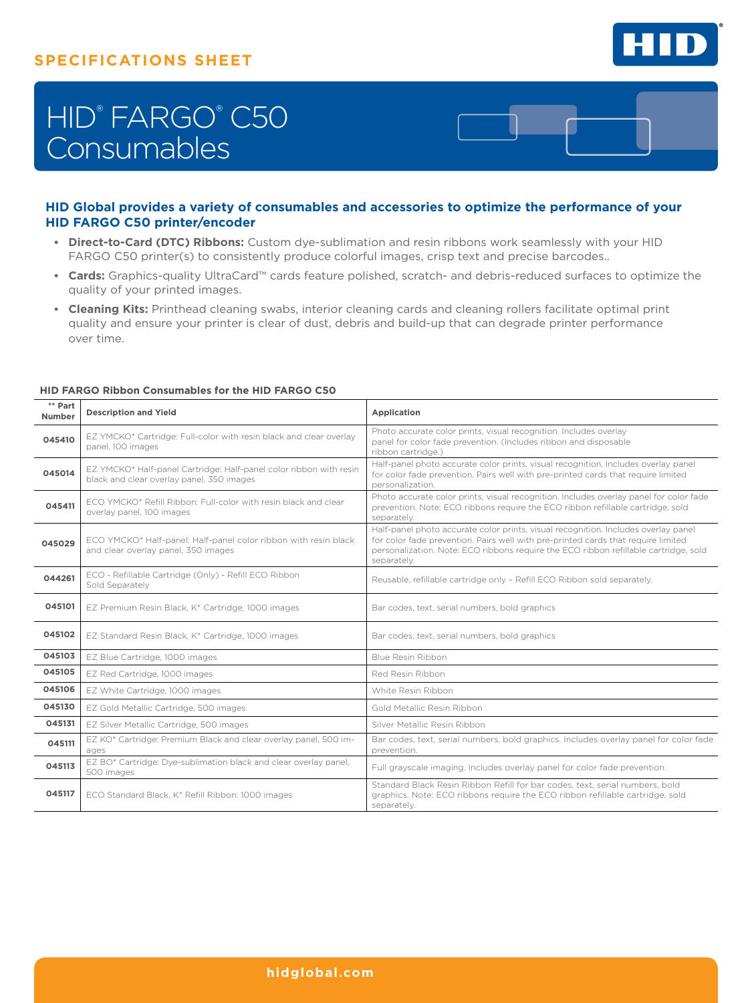

# HID® FARGO® C50 **Consumables**

## **HID Global provides a variety of consumables and accessories to optimize the performance of your HID FARGO C50 printer/encoder**

- **Direct-to-Card (DTC) Ribbons:** Custom dye-sublimation and resin ribbons work seamlessly with your HID FARGO C50 printer(s) to consistently produce colorful images, crisp text and precise barcodes..
- **Cards:** Graphics-quality UltraCard™ cards feature polished, scratch- and debris-reduced surfaces to optimize the quality of your printed images.
- **Cleaning Kits:** Printhead cleaning swabs, interior cleaning cards and cleaning rollers facilitate optimal print quality and ensure your printer is clear of dust, debris and build-up that can degrade printer performance over time.

| ** Part<br><b>Number</b> | <b>Description and Yield</b>                                                                                    | Application                                                                                                                                                                                                                                                                    |
|--------------------------|-----------------------------------------------------------------------------------------------------------------|--------------------------------------------------------------------------------------------------------------------------------------------------------------------------------------------------------------------------------------------------------------------------------|
| 045410                   | EZ YMCKO* Cartridge: Full-color with resin black and clear overlay<br>panel, 100 images                         | Photo accurate color prints, visual recognition. Includes overlay<br>panel for color fade prevention. (Includes ribbon and disposable<br>ribbon cartridge.)                                                                                                                    |
| 045014                   | EZ YMCKO* Half-panel Cartridge: Half-panel color ribbon with resin<br>black and clear overlay panel, 350 images | Half-panel photo accurate color prints, visual recognition. Includes overlay panel<br>for color fade prevention. Pairs well with pre-printed cards that require limited<br>personalization.                                                                                    |
| 045411                   | FCO YMCKO* Refill Ribbon: Full-color with resin black and clear<br>overlay panel, 100 images                    | Photo accurate color prints, visual recognition. Includes overlay panel for color fade<br>prevention. Note: ECO ribbons require the ECO ribbon refillable cartridge, sold<br>separately.                                                                                       |
| 045029                   | ECO YMCKO* Half-panel: Half-panel color ribbon with resin black<br>and clear overlay panel, 350 images          | Half-panel photo accurate color prints, visual recognition. Includes overlay panel<br>for color fade prevention. Pairs well with pre-printed cards that require limited<br>personalization. Note: ECO ribbons require the ECO ribbon refillable cartridge, sold<br>separately. |
| 044261                   | ECO - Refillable Cartridge (Only) - Refill ECO Ribbon<br>Sold Separately                                        | Reusable, refillable cartridge only - Refill ECO Ribbon sold separately.                                                                                                                                                                                                       |
| 045101                   | EZ Premium Resin Black, K* Cartridge, 1000 images                                                               | Bar codes, text, serial numbers, bold graphics                                                                                                                                                                                                                                 |
| 045102                   | EZ Standard Resin Black, K* Cartridge, 1000 images                                                              | Bar codes, text, serial numbers, bold graphics                                                                                                                                                                                                                                 |
| 045103                   | EZ Blue Cartridge, 1000 images                                                                                  | Blue Resin Ribbon                                                                                                                                                                                                                                                              |
| 045105                   | EZ Red Cartridge, 1000 images                                                                                   | Red Resin Ribbon                                                                                                                                                                                                                                                               |
| 045106                   | EZ White Cartridge, 1000 images                                                                                 | White Resin Ribbon                                                                                                                                                                                                                                                             |
| 045130                   | EZ Gold Metallic Cartridge, 500 images                                                                          | Gold Metallic Resin Ribbon                                                                                                                                                                                                                                                     |
| 045131                   | EZ Silver Metallic Cartridge, 500 images                                                                        | Silver Metallic Resin Ribbon                                                                                                                                                                                                                                                   |
| 045111                   | EZ KO* Cartridge: Premium Black and clear overlay panel, 500 im-<br>ages                                        | Bar codes, text, serial numbers, bold graphics. Includes overlay panel for color fade<br>prevention.                                                                                                                                                                           |
| 045113                   | EZ BO* Cartridge: Dye-sublimation black and clear overlay panel,<br>500 images                                  | Full grayscale imaging. Includes overlay panel for color fade prevention.                                                                                                                                                                                                      |
| 045117                   | ECO Standard Black, K* Refill Ribbon: 1000 images                                                               | Standard Black Resin Ribbon Refill for bar codes, text, serial numbers, bold<br>graphics. Note: ECO ribbons require the ECO ribbon refillable cartridge, sold<br>separately.                                                                                                   |

### **HID FARGO Ribbon Consumables for the HID FARGO C50**